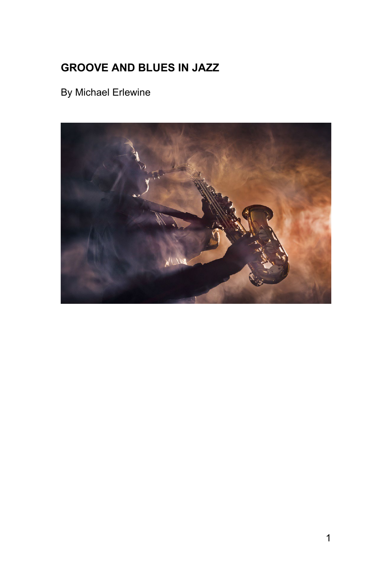# <span id="page-0-0"></span>**GROOVE AND BLUES IN JAZZ**

By Michael Erlewine

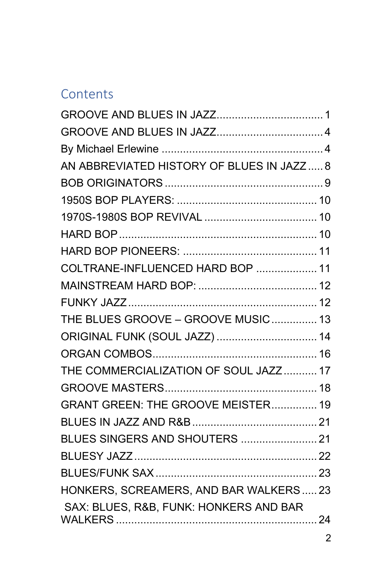# **Contents**

| AN ABBREVIATED HISTORY OF BLUES IN JAZZ 8 |  |
|-------------------------------------------|--|
|                                           |  |
|                                           |  |
|                                           |  |
|                                           |  |
|                                           |  |
| COLTRANE-INFLUENCED HARD BOP  11          |  |
|                                           |  |
|                                           |  |
| THE BLUES GROOVE - GROOVE MUSIC 13        |  |
| ORIGINAL FUNK (SOUL JAZZ)  14             |  |
|                                           |  |
| THE COMMERCIALIZATION OF SOUL JAZZ 17     |  |
|                                           |  |
| GRANT GREEN: THE GROOVE MEISTER 19        |  |
|                                           |  |
|                                           |  |
|                                           |  |
|                                           |  |
| HONKERS, SCREAMERS, AND BAR WALKERS  23   |  |
| SAX: BLUES, R&B, FUNK: HONKERS AND BAR    |  |
|                                           |  |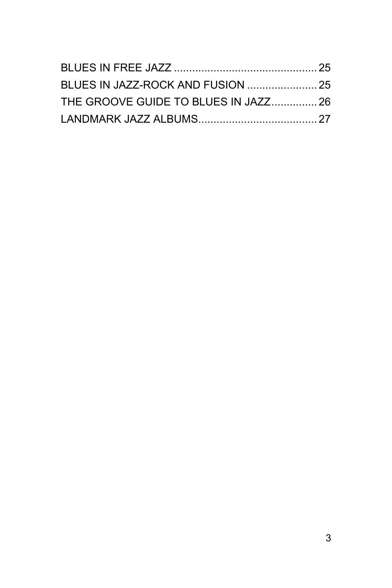| THE GROOVE GUIDE TO BLUES IN JAZZ 26 |  |
|--------------------------------------|--|
|                                      |  |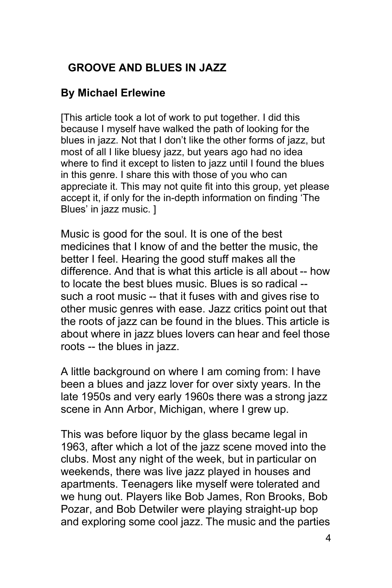# <span id="page-3-0"></span>**GROOVE AND BLUES IN JAZZ**

#### <span id="page-3-1"></span>**By Michael Erlewine**

[This article took a lot of work to put together. I did this because I myself have walked the path of looking for the blues in jazz. Not that I don't like the other forms of jazz, but most of all I like bluesy jazz, but years ago had no idea where to find it except to listen to jazz until I found the blues in this genre. I share this with those of you who can appreciate it. This may not quite fit into this group, yet please accept it, if only for the in-depth information on finding 'The Blues' in jazz music. ]

Music is good for the soul. It is one of the best medicines that I know of and the better the music, the better I feel. Hearing the good stuff makes all the difference. And that is what this article is all about -- how to locate the best blues music. Blues is so radical - such a root music -- that it fuses with and gives rise to other music genres with ease. Jazz critics point out that the roots of jazz can be found in the blues. This article is about where in jazz blues lovers can hear and feel those roots -- the blues in jazz.

A little background on where I am coming from: I have been a blues and jazz lover for over sixty years. In the late 1950s and very early 1960s there was a strong jazz scene in Ann Arbor, Michigan, where I grew up.

This was before liquor by the glass became legal in 1963, after which a lot of the jazz scene moved into the clubs. Most any night of the week, but in particular on weekends, there was live jazz played in houses and apartments. Teenagers like myself were tolerated and we hung out. Players like Bob James, Ron Brooks, Bob Pozar, and Bob Detwiler were playing straight-up bop and exploring some cool jazz. The music and the parties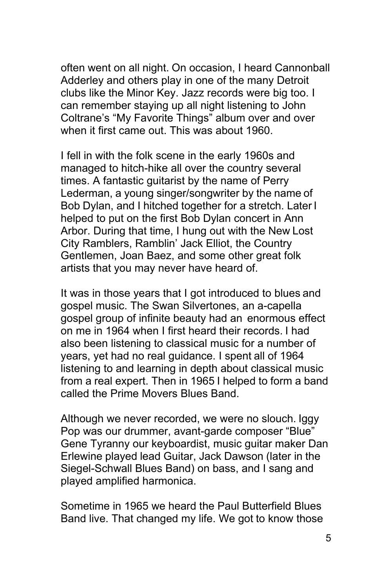often went on all night. On occasion, I heard Cannonball Adderley and others play in one of the many Detroit clubs like the Minor Key. Jazz records were big too. I can remember staying up all night listening to John Coltrane's "My Favorite Things" album over and over when it first came out. This was about 1960.

I fell in with the folk scene in the early 1960s and managed to hitch-hike all over the country several times. A fantastic guitarist by the name of Perry Lederman, a young singer/songwriter by the name of Bob Dylan, and I hitched together for a stretch. Later I helped to put on the first Bob Dylan concert in Ann Arbor. During that time, I hung out with the New Lost City Ramblers, Ramblin' Jack Elliot, the Country Gentlemen, Joan Baez, and some other great folk artists that you may never have heard of.

It was in those years that I got introduced to blues and gospel music. The Swan Silvertones, an a-capella gospel group of infinite beauty had an enormous effect on me in 1964 when I first heard their records. I had also been listening to classical music for a number of years, yet had no real guidance. I spent all of 1964 listening to and learning in depth about classical music from a real expert. Then in 1965 I helped to form a band called the Prime Movers Blues Band.

Although we never recorded, we were no slouch. Iggy Pop was our drummer, avant-garde composer "Blue" Gene Tyranny our keyboardist, music guitar maker Dan Erlewine played lead Guitar, Jack Dawson (later in the Siegel-Schwall Blues Band) on bass, and I sang and played amplified harmonica.

Sometime in 1965 we heard the Paul Butterfield Blues Band live. That changed my life. We got to know those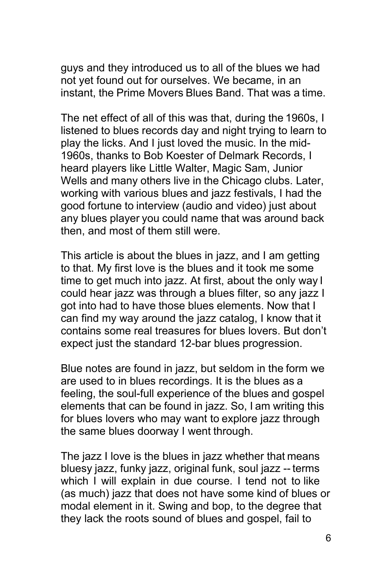guys and they introduced us to all of the blues we had not yet found out for ourselves. We became, in an instant, the Prime Movers Blues Band. That was a time.

The net effect of all of this was that, during the 1960s, I listened to blues records day and night trying to learn to play the licks. And I just loved the music. In the mid-1960s, thanks to Bob Koester of Delmark Records, I heard players like Little Walter, Magic Sam, Junior Wells and many others live in the Chicago clubs. Later, working with various blues and jazz festivals, I had the good fortune to interview (audio and video) just about any blues player you could name that was around back then, and most of them still were.

This article is about the blues in jazz, and I am getting to that. My first love is the blues and it took me some time to get much into jazz. At first, about the only way I could hear jazz was through a blues filter, so any jazz I got into had to have those blues elements. Now that I can find my way around the jazz catalog, I know that it contains some real treasures for blues lovers. But don't expect just the standard 12-bar blues progression.

Blue notes are found in jazz, but seldom in the form we are used to in blues recordings. It is the blues as a feeling, the soul-full experience of the blues and gospel elements that can be found in jazz. So, I am writing this for blues lovers who may want to explore jazz through the same blues doorway I went through.

The jazz I love is the blues in jazz whether that means bluesy jazz, funky jazz, original funk, soul jazz -- terms which I will explain in due course. I tend not to like (as much) jazz that does not have some kind of blues or modal element in it. Swing and bop, to the degree that they lack the roots sound of blues and gospel, fail to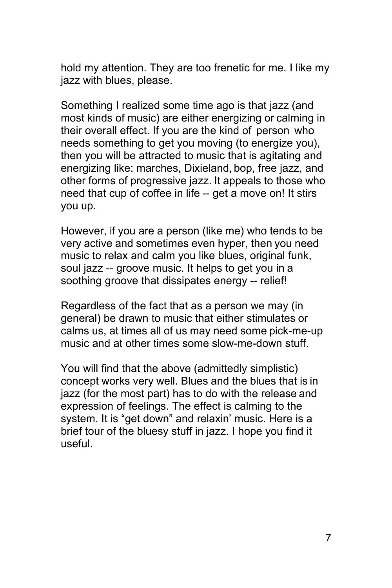hold my attention. They are too frenetic for me. I like my jazz with blues, please.

Something I realized some time ago is that jazz (and most kinds of music) are either energizing or calming in their overall effect. If you are the kind of person who needs something to get you moving (to energize you), then you will be attracted to music that is agitating and energizing like: marches, Dixieland, bop, free jazz, and other forms of progressive jazz. It appeals to those who need that cup of coffee in life -- get a move on! It stirs you up.

However, if you are a person (like me) who tends to be very active and sometimes even hyper, then you need music to relax and calm you like blues, original funk, soul jazz -- groove music. It helps to get you in a soothing groove that dissipates energy -- relief!

Regardless of the fact that as a person we may (in general) be drawn to music that either stimulates or calms us, at times all of us may need some pick-me-up music and at other times some slow-me-down stuff.

You will find that the above (admittedly simplistic) concept works very well. Blues and the blues that is in jazz (for the most part) has to do with the release and expression of feelings. The effect is calming to the system. It is "get down" and relaxin' music. Here is a brief tour of the bluesy stuff in jazz. I hope you find it useful.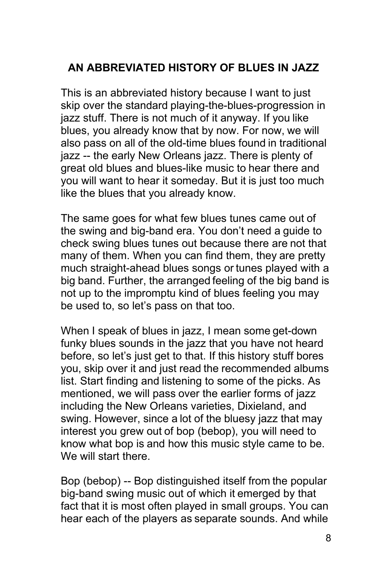# <span id="page-7-0"></span>**AN ABBREVIATED HISTORY OF BLUES IN JAZZ**

This is an abbreviated history because I want to just skip over the standard playing-the-blues-progression in jazz stuff. There is not much of it anyway. If you like blues, you already know that by now. For now, we will also pass on all of the old-time blues found in traditional jazz -- the early New Orleans jazz. There is plenty of great old blues and blues-like music to hear there and you will want to hear it someday. But it is just too much like the blues that you already know.

The same goes for what few blues tunes came out of the swing and big-band era. You don't need a guide to check swing blues tunes out because there are not that many of them. When you can find them, they are pretty much straight-ahead blues songs or tunes played with a big band. Further, the arranged feeling of the big band is not up to the impromptu kind of blues feeling you may be used to, so let's pass on that too.

When I speak of blues in jazz, I mean some get-down funky blues sounds in the jazz that you have not heard before, so let's just get to that. If this history stuff bores you, skip over it and just read the recommended albums list. Start finding and listening to some of the picks. As mentioned, we will pass over the earlier forms of jazz including the New Orleans varieties, Dixieland, and swing. However, since a lot of the bluesy jazz that may interest you grew out of bop (bebop), you will need to know what bop is and how this music style came to be. We will start there.

Bop (bebop) -- Bop distinguished itself from the popular big-band swing music out of which it emerged by that fact that it is most often played in small groups. You can hear each of the players as separate sounds. And while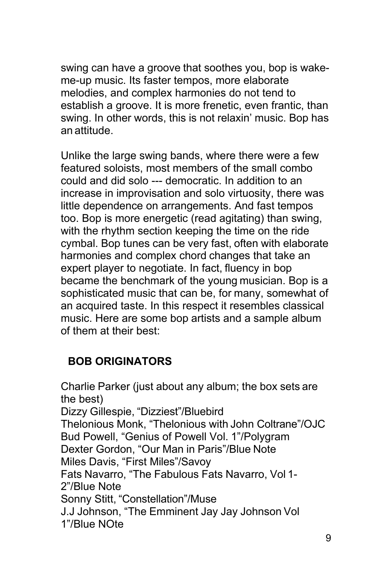swing can have a groove that soothes you, bop is wakeme-up music. Its faster tempos, more elaborate melodies, and complex harmonies do not tend to establish a groove. It is more frenetic, even frantic, than swing. In other words, this is not relaxin' music. Bop has an attitude.

Unlike the large swing bands, where there were a few featured soloists, most members of the small combo could and did solo --- democratic. In addition to an increase in improvisation and solo virtuosity, there was little dependence on arrangements. And fast tempos too. Bop is more energetic (read agitating) than swing, with the rhythm section keeping the time on the ride cymbal. Bop tunes can be very fast, often with elaborate harmonies and complex chord changes that take an expert player to negotiate. In fact, fluency in bop became the benchmark of the young musician. Bop is a sophisticated music that can be, for many, somewhat of an acquired taste. In this respect it resembles classical music. Here are some bop artists and a sample album of them at their best:

# <span id="page-8-0"></span>**BOB ORIGINATORS**

Charlie Parker (just about any album; the box sets are the best) Dizzy Gillespie, "Dizziest"/Bluebird Thelonious Monk, "Thelonious with John Coltrane"/OJC Bud Powell, "Genius of Powell Vol. 1"/Polygram Dexter Gordon, "Our Man in Paris"/Blue Note Miles Davis, "First Miles"/Savoy Fats Navarro, "The Fabulous Fats Navarro, Vol 1- 2"/Blue Note Sonny Stitt, "Constellation"/Muse J.J Johnson, "The Emminent Jay Jay Johnson Vol 1"/Blue NOte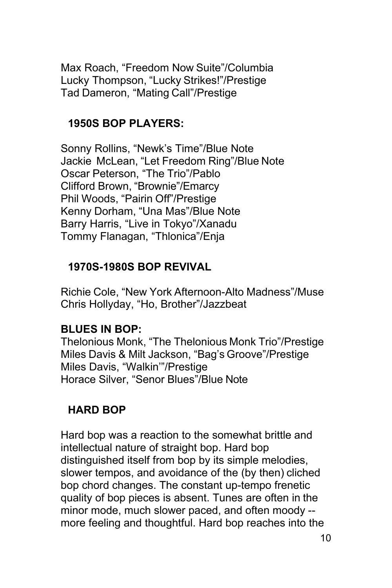Max Roach, "Freedom Now Suite"/Columbia Lucky Thompson, "Lucky Strikes!"/Prestige Tad Dameron, "Mating Call"/Prestige

#### <span id="page-9-0"></span>**1950S BOP PLAYERS:**

Sonny Rollins, "Newk's Time"/Blue Note Jackie McLean, "Let Freedom Ring"/Blue Note Oscar Peterson, "The Trio"/Pablo Clifford Brown, "Brownie"/Emarcy Phil Woods, "Pairin Off"/Prestige Kenny Dorham, "Una Mas"/Blue Note Barry Harris, "Live in Tokyo"/Xanadu Tommy Flanagan, "Thlonica"/Enja

# <span id="page-9-1"></span>**1970S-1980S BOP REVIVAL**

Richie Cole, "New York Afternoon-Alto Madness"/Muse Chris Hollyday, "Ho, Brother"/Jazzbeat

#### **BLUES IN BOP:**

Thelonious Monk, "The Thelonious Monk Trio"/Prestige Miles Davis & Milt Jackson, "Bag's Groove"/Prestige Miles Davis, "Walkin'"/Prestige Horace Silver, "Senor Blues"/Blue Note

# <span id="page-9-2"></span>**HARD BOP**

Hard bop was a reaction to the somewhat brittle and intellectual nature of straight bop. Hard bop distinguished itself from bop by its simple melodies, slower tempos, and avoidance of the (by then) cliched bop chord changes. The constant up-tempo frenetic quality of bop pieces is absent. Tunes are often in the minor mode, much slower paced, and often moody - more feeling and thoughtful. Hard bop reaches into the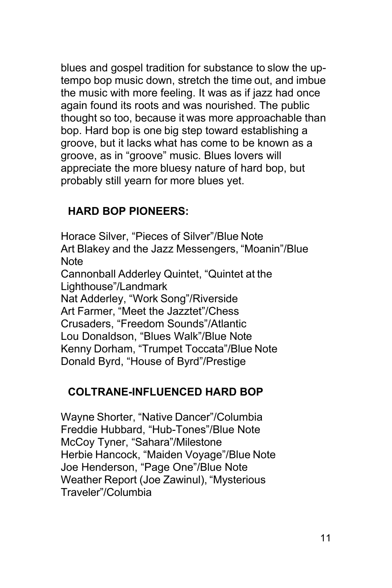blues and gospel tradition for substance to slow the uptempo bop music down, stretch the time out, and imbue the music with more feeling. It was as if jazz had once again found its roots and was nourished. The public thought so too, because it was more approachable than bop. Hard bop is one big step toward establishing a groove, but it lacks what has come to be known as a groove, as in "groove" music. Blues lovers will appreciate the more bluesy nature of hard bop, but probably still yearn for more blues yet.

### <span id="page-10-0"></span>**HARD BOP PIONEERS:**

Horace Silver, "Pieces of Silver"/Blue Note Art Blakey and the Jazz Messengers, "Moanin"/Blue **Note** Cannonball Adderley Quintet, "Quintet at the Lighthouse"/Landmark Nat Adderley, "Work Song"/Riverside Art Farmer, "Meet the Jazztet"/Chess Crusaders, "Freedom Sounds"/Atlantic Lou Donaldson, "Blues Walk"/Blue Note Kenny Dorham, "Trumpet Toccata"/Blue Note Donald Byrd, "House of Byrd"/Prestige

# <span id="page-10-1"></span>**COLTRANE-INFLUENCED HARD BOP**

Wayne Shorter, "Native Dancer"/Columbia Freddie Hubbard, "Hub-Tones"/Blue Note McCoy Tyner, "Sahara"/Milestone Herbie Hancock, "Maiden Voyage"/Blue Note Joe Henderson, "Page One"/Blue Note Weather Report (Joe Zawinul), "Mysterious Traveler"/Columbia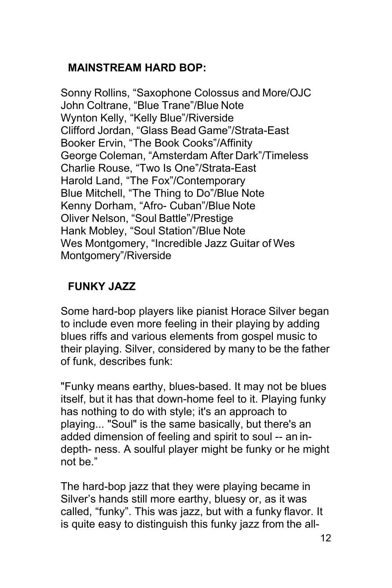### <span id="page-11-0"></span>**MAINSTREAM HARD BOP:**

Sonny Rollins, "Saxophone Colossus and More/OJC John Coltrane, "Blue Trane"/Blue Note Wynton Kelly, "Kelly Blue"/Riverside Clifford Jordan, "Glass Bead Game"/Strata-East Booker Ervin, "The Book Cooks"/Affinity George Coleman, "Amsterdam After Dark"/Timeless Charlie Rouse, "Two Is One"/Strata-East Harold Land, "The Fox"/Contemporary Blue Mitchell, "The Thing to Do"/Blue Note Kenny Dorham, "Afro- Cuban"/Blue Note Oliver Nelson, "Soul Battle"/Prestige Hank Mobley, "Soul Station"/Blue Note Wes Montgomery, "Incredible Jazz Guitar of Wes Montgomery"/Riverside

# <span id="page-11-1"></span>**FUNKY JAZZ**

Some hard-bop players like pianist Horace Silver began to include even more feeling in their playing by adding blues riffs and various elements from gospel music to their playing. Silver, considered by many to be the father of funk, describes funk:

"Funky means earthy, blues-based. It may not be blues itself, but it has that down-home feel to it. Playing funky has nothing to do with style; it's an approach to playing... "Soul" is the same basically, but there's an added dimension of feeling and spirit to soul -- an indepth- ness. A soulful player might be funky or he might not be."

The hard-bop jazz that they were playing became in Silver's hands still more earthy, bluesy or, as it was called, "funky". This was jazz, but with a funky flavor. It is quite easy to distinguish this funky jazz from the all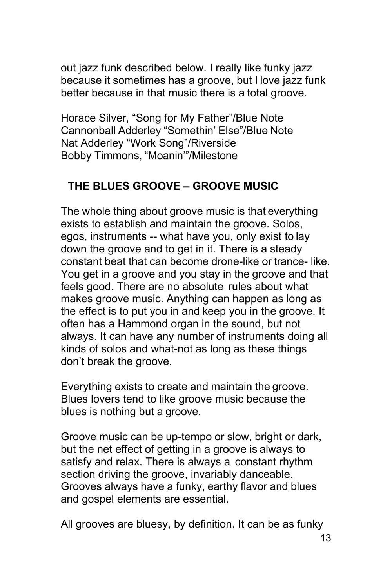out jazz funk described below. I really like funky jazz because it sometimes has a groove, but I love jazz funk better because in that music there is a total groove.

Horace Silver, "Song for My Father"/Blue Note Cannonball Adderley "Somethin' Else"/Blue Note Nat Adderley "Work Song"/Riverside Bobby Timmons, "Moanin'"/Milestone

#### <span id="page-12-0"></span>**THE BLUES GROOVE – GROOVE MUSIC**

The whole thing about groove music is that everything exists to establish and maintain the groove. Solos, egos, instruments -- what have you, only exist to lay down the groove and to get in it. There is a steady constant beat that can become drone-like or trance- like. You get in a groove and you stay in the groove and that feels good. There are no absolute rules about what makes groove music. Anything can happen as long as the effect is to put you in and keep you in the groove. It often has a Hammond organ in the sound, but not always. It can have any number of instruments doing all kinds of solos and what-not as long as these things don't break the groove.

Everything exists to create and maintain the groove. Blues lovers tend to like groove music because the blues is nothing but a groove.

Groove music can be up-tempo or slow, bright or dark, but the net effect of getting in a groove is always to satisfy and relax. There is always a constant rhythm section driving the groove, invariably danceable. Grooves always have a funky, earthy flavor and blues and gospel elements are essential.

All grooves are bluesy, by definition. It can be as funky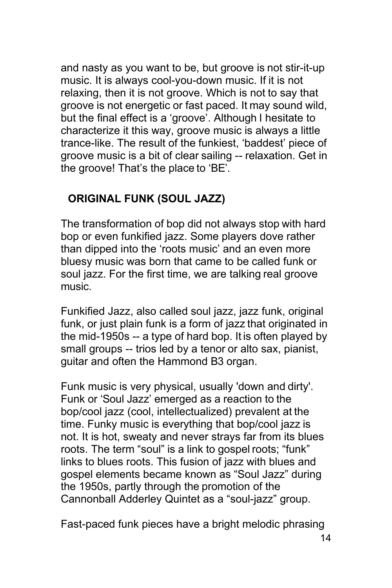and nasty as you want to be, but groove is not stir-it-up music. It is always cool-you-down music. If it is not relaxing, then it is not groove. Which is not to say that groove is not energetic or fast paced. It may sound wild, but the final effect is a 'groove'. Although I hesitate to characterize it this way, groove music is always a little trance-like. The result of the funkiest, 'baddest' piece of groove music is a bit of clear sailing -- relaxation. Get in the groove! That's the place to 'BE'.

### <span id="page-13-0"></span>**ORIGINAL FUNK (SOUL JAZZ)**

The transformation of bop did not always stop with hard bop or even funkified jazz. Some players dove rather than dipped into the 'roots music' and an even more bluesy music was born that came to be called funk or soul jazz. For the first time, we are talking real groove music.

Funkified Jazz, also called soul jazz, jazz funk, original funk, or just plain funk is a form of jazz that originated in the mid-1950s -- a type of hard bop. It is often played by small groups -- trios led by a tenor or alto sax, pianist, guitar and often the Hammond B3 organ.

Funk music is very physical, usually 'down and dirty'. Funk or 'Soul Jazz' emerged as a reaction to the bop/cool jazz (cool, intellectualized) prevalent at the time. Funky music is everything that bop/cool jazz is not. It is hot, sweaty and never strays far from its blues roots. The term "soul" is a link to gospel roots; "funk" links to blues roots. This fusion of jazz with blues and gospel elements became known as "Soul Jazz" during the 1950s, partly through the promotion of the Cannonball Adderley Quintet as a "soul-jazz" group.

Fast-paced funk pieces have a bright melodic phrasing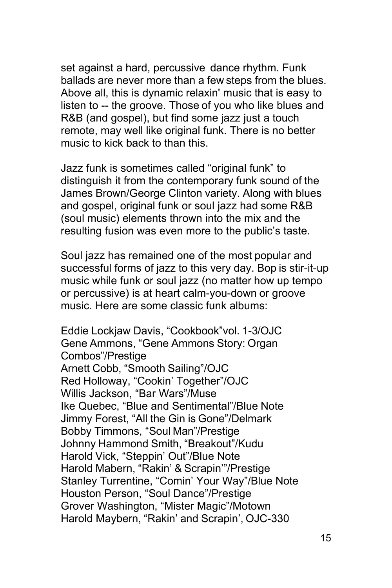set against a hard, percussive dance rhythm. Funk ballads are never more than a few steps from the blues. Above all, this is dynamic relaxin' music that is easy to listen to -- the groove. Those of you who like blues and R&B (and gospel), but find some jazz just a touch remote, may well like original funk. There is no better music to kick back to than this.

Jazz funk is sometimes called "original funk" to distinguish it from the contemporary funk sound of the James Brown/George Clinton variety. Along with blues and gospel, original funk or soul jazz had some R&B (soul music) elements thrown into the mix and the resulting fusion was even more to the public's taste.

Soul jazz has remained one of the most popular and successful forms of jazz to this very day. Bop is stir-it-up music while funk or soul jazz (no matter how up tempo or percussive) is at heart calm-you-down or groove music. Here are some classic funk albums:

Eddie Lockjaw Davis, "Cookbook"vol. 1-3/OJC Gene Ammons, "Gene Ammons Story: Organ Combos"/Prestige Arnett Cobb, "Smooth Sailing"/OJC Red Holloway, "Cookin' Together"/OJC Willis Jackson, "Bar Wars"/Muse Ike Quebec, "Blue and Sentimental"/Blue Note Jimmy Forest, "All the Gin is Gone"/Delmark Bobby Timmons, "Soul Man"/Prestige Johnny Hammond Smith, "Breakout"/Kudu Harold Vick, "Steppin' Out"/Blue Note Harold Mabern, "Rakin' & Scrapin'"/Prestige Stanley Turrentine, "Comin' Your Way"/Blue Note Houston Person, "Soul Dance"/Prestige Grover Washington, "Mister Magic"/Motown Harold Maybern, "Rakin' and Scrapin', OJC-330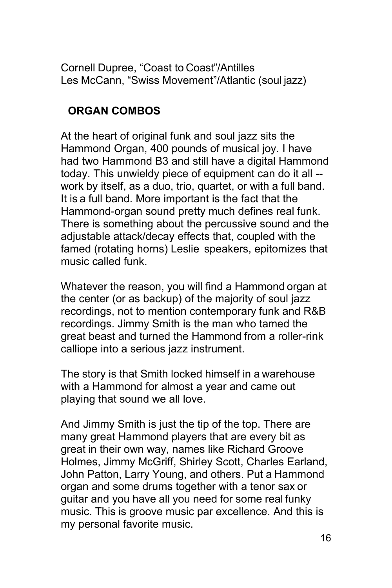Cornell Dupree, "Coast to Coast"/Antilles Les McCann, "Swiss Movement"/Atlantic (soul jazz)

# <span id="page-15-0"></span>**ORGAN COMBOS**

At the heart of original funk and soul jazz sits the Hammond Organ, 400 pounds of musical joy. I have had two Hammond B3 and still have a digital Hammond today. This unwieldy piece of equipment can do it all - work by itself, as a duo, trio, quartet, or with a full band. It is a full band. More important is the fact that the Hammond-organ sound pretty much defines real funk. There is something about the percussive sound and the adjustable attack/decay effects that, coupled with the famed (rotating horns) Leslie speakers, epitomizes that music called funk.

Whatever the reason, you will find a Hammond organ at the center (or as backup) of the majority of soul jazz recordings, not to mention contemporary funk and R&B recordings. Jimmy Smith is the man who tamed the great beast and turned the Hammond from a roller-rink calliope into a serious jazz instrument.

The story is that Smith locked himself in a warehouse with a Hammond for almost a year and came out playing that sound we all love.

And Jimmy Smith is just the tip of the top. There are many great Hammond players that are every bit as great in their own way, names like Richard Groove Holmes, Jimmy McGriff, Shirley Scott, Charles Earland, John Patton, Larry Young, and others. Put a Hammond organ and some drums together with a tenor sax or guitar and you have all you need for some real funky music. This is groove music par excellence. And this is my personal favorite music.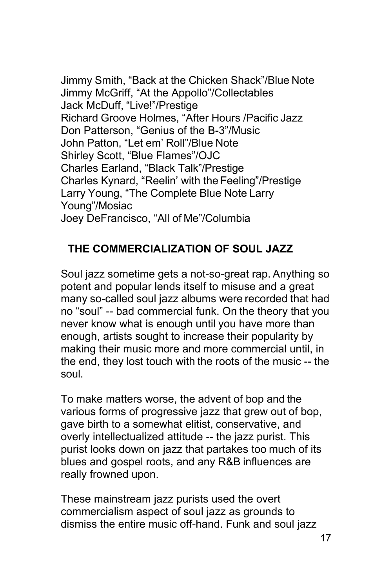Jimmy Smith, "Back at the Chicken Shack"/Blue Note Jimmy McGriff, "At the Appollo"/Collectables Jack McDuff, "Live!"/Prestige Richard Groove Holmes, "After Hours /Pacific Jazz Don Patterson, "Genius of the B-3"/Music John Patton, "Let em' Roll"/Blue Note Shirley Scott, "Blue Flames"/OJC Charles Earland, "Black Talk"/Prestige Charles Kynard, "Reelin' with the Feeling"/Prestige Larry Young, "The Complete Blue Note Larry Young"/Mosiac Joey DeFrancisco, "All of Me"/Columbia

# <span id="page-16-0"></span>**THE COMMERCIALIZATION OF SOUL JAZZ**

Soul jazz sometime gets a not-so-great rap. Anything so potent and popular lends itself to misuse and a great many so-called soul jazz albums were recorded that had no "soul" -- bad commercial funk. On the theory that you never know what is enough until you have more than enough, artists sought to increase their popularity by making their music more and more commercial until, in the end, they lost touch with the roots of the music -- the soul.

To make matters worse, the advent of bop and the various forms of progressive jazz that grew out of bop, gave birth to a somewhat elitist, conservative, and overly intellectualized attitude -- the jazz purist. This purist looks down on jazz that partakes too much of its blues and gospel roots, and any R&B influences are really frowned upon.

These mainstream jazz purists used the overt commercialism aspect of soul jazz as grounds to dismiss the entire music off-hand. Funk and soul jazz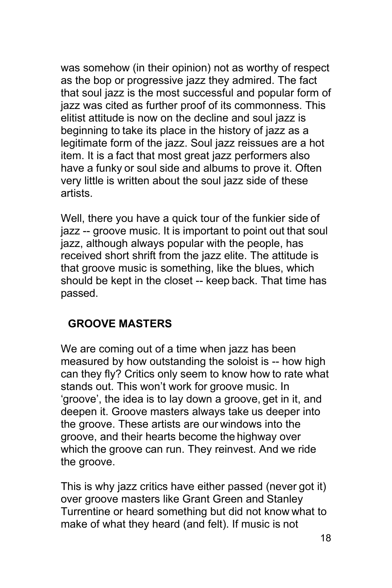was somehow (in their opinion) not as worthy of respect as the bop or progressive jazz they admired. The fact that soul jazz is the most successful and popular form of jazz was cited as further proof of its commonness. This elitist attitude is now on the decline and soul jazz is beginning to take its place in the history of jazz as a legitimate form of the jazz. Soul jazz reissues are a hot item. It is a fact that most great jazz performers also have a funky or soul side and albums to prove it. Often very little is written about the soul jazz side of these artists.

Well, there you have a quick tour of the funkier side of jazz -- groove music. It is important to point out that soul jazz, although always popular with the people, has received short shrift from the jazz elite. The attitude is that groove music is something, like the blues, which should be kept in the closet -- keep back. That time has passed.

#### <span id="page-17-0"></span>**GROOVE MASTERS**

We are coming out of a time when jazz has been measured by how outstanding the soloist is -- how high can they fly? Critics only seem to know how to rate what stands out. This won't work for groove music. In 'groove', the idea is to lay down a groove, get in it, and deepen it. Groove masters always take us deeper into the groove. These artists are our windows into the groove, and their hearts become the highway over which the groove can run. They reinvest. And we ride the groove.

This is why jazz critics have either passed (never got it) over groove masters like Grant Green and Stanley Turrentine or heard something but did not know what to make of what they heard (and felt). If music is not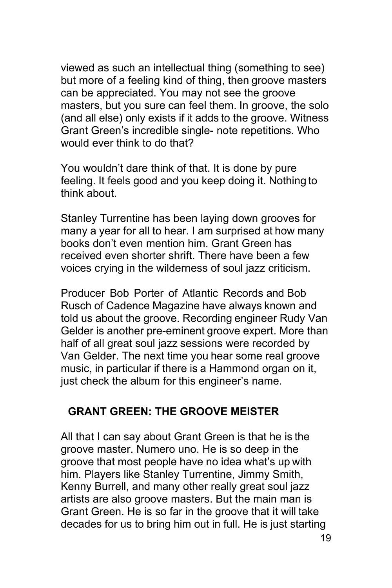viewed as such an intellectual thing (something to see) but more of a feeling kind of thing, then groove masters can be appreciated. You may not see the groove masters, but you sure can feel them. In groove, the solo (and all else) only exists if it adds to the groove. Witness Grant Green's incredible single- note repetitions. Who would ever think to do that?

You wouldn't dare think of that. It is done by pure feeling. It feels good and you keep doing it. Nothing to think about.

Stanley Turrentine has been laying down grooves for many a year for all to hear. I am surprised at how many books don't even mention him. Grant Green has received even shorter shrift. There have been a few voices crying in the wilderness of soul jazz criticism.

Producer Bob Porter of Atlantic Records and Bob Rusch of Cadence Magazine have always known and told us about the groove. Recording engineer Rudy Van Gelder is another pre-eminent groove expert. More than half of all great soul jazz sessions were recorded by Van Gelder. The next time you hear some real groove music, in particular if there is a Hammond organ on it, just check the album for this engineer's name.

#### <span id="page-18-0"></span>**GRANT GREEN: THE GROOVE MEISTER**

All that I can say about Grant Green is that he is the groove master. Numero uno. He is so deep in the groove that most people have no idea what's up with him. Players like Stanley Turrentine, Jimmy Smith, Kenny Burrell, and many other really great soul jazz artists are also groove masters. But the main man is Grant Green. He is so far in the groove that it will take decades for us to bring him out in full. He is just starting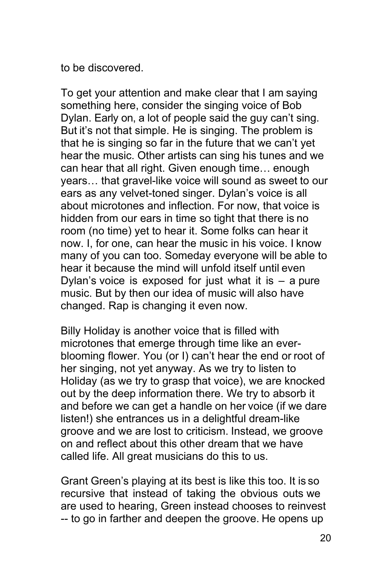to be discovered.

To get your attention and make clear that I am saying something here, consider the singing voice of Bob Dylan. Early on, a lot of people said the guy can't sing. But it's not that simple. He is singing. The problem is that he is singing so far in the future that we can't yet hear the music. Other artists can sing his tunes and we can hear that all right. Given enough time… enough years… that gravel-like voice will sound as sweet to our ears as any velvet-toned singer. Dylan's voice is all about microtones and inflection. For now, that voice is hidden from our ears in time so tight that there is no room (no time) yet to hear it. Some folks can hear it now. I, for one, can hear the music in his voice. I know many of you can too. Someday everyone will be able to hear it because the mind will unfold itself until even Dylan's voice is exposed for just what it is  $-$  a pure music. But by then our idea of music will also have changed. Rap is changing it even now.

Billy Holiday is another voice that is filled with microtones that emerge through time like an everblooming flower. You (or I) can't hear the end or root of her singing, not yet anyway. As we try to listen to Holiday (as we try to grasp that voice), we are knocked out by the deep information there. We try to absorb it and before we can get a handle on her voice (if we dare listen!) she entrances us in a delightful dream-like groove and we are lost to criticism. Instead, we groove on and reflect about this other dream that we have called life. All great musicians do this to us.

Grant Green's playing at its best is like this too. It is so recursive that instead of taking the obvious outs we are used to hearing, Green instead chooses to reinvest -- to go in farther and deepen the groove. He opens up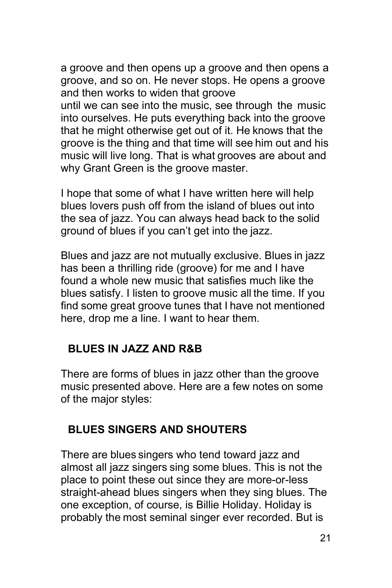a groove and then opens up a groove and then opens a groove, and so on. He never stops. He opens a groove and then works to widen that groove

until we can see into the music, see through the music into ourselves. He puts everything back into the groove that he might otherwise get out of it. He knows that the groove is the thing and that time will see him out and his music will live long. That is what grooves are about and why Grant Green is the groove master.

I hope that some of what I have written here will help blues lovers push off from the island of blues out into the sea of jazz. You can always head back to the solid ground of blues if you can't get into the jazz.

Blues and jazz are not mutually exclusive. Blues in jazz has been a thrilling ride (groove) for me and I have found a whole new music that satisfies much like the blues satisfy. I listen to groove music all the time. If you find some great groove tunes that I have not mentioned here, drop me a line. I want to hear them.

#### <span id="page-20-0"></span>**BLUES IN JAZZ AND R&B**

There are forms of blues in jazz other than the groove music presented above. Here are a few notes on some of the major styles:

#### <span id="page-20-1"></span>**BLUES SINGERS AND SHOUTERS**

There are blues singers who tend toward jazz and almost all jazz singers sing some blues. This is not the place to point these out since they are more-or-less straight-ahead blues singers when they sing blues. The one exception, of course, is Billie Holiday. Holiday is probably the most seminal singer ever recorded. But is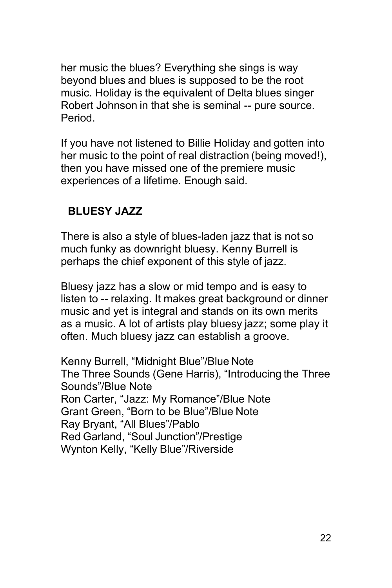her music the blues? Everything she sings is way beyond blues and blues is supposed to be the root music. Holiday is the equivalent of Delta blues singer Robert Johnson in that she is seminal -- pure source. Period.

If you have not listened to Billie Holiday and gotten into her music to the point of real distraction (being moved!), then you have missed one of the premiere music experiences of a lifetime. Enough said.

### <span id="page-21-0"></span>**BLUESY JAZZ**

There is also a style of blues-laden jazz that is not so much funky as downright bluesy. Kenny Burrell is perhaps the chief exponent of this style of jazz.

Bluesy jazz has a slow or mid tempo and is easy to listen to -- relaxing. It makes great background or dinner music and yet is integral and stands on its own merits as a music. A lot of artists play bluesy jazz; some play it often. Much bluesy jazz can establish a groove.

Kenny Burrell, "Midnight Blue"/Blue Note The Three Sounds (Gene Harris), "Introducing the Three Sounds"/Blue Note Ron Carter, "Jazz: My Romance"/Blue Note Grant Green, "Born to be Blue"/Blue Note Ray Bryant, "All Blues"/Pablo Red Garland, "Soul Junction"/Prestige Wynton Kelly, "Kelly Blue"/Riverside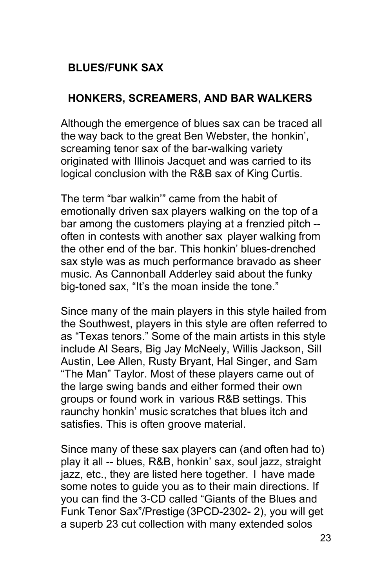# <span id="page-22-0"></span>**BLUES/FUNK SAX**

# <span id="page-22-1"></span>**HONKERS, SCREAMERS, AND BAR WALKERS**

Although the emergence of blues sax can be traced all the way back to the great Ben Webster, the honkin', screaming tenor sax of the bar-walking variety originated with Illinois Jacquet and was carried to its logical conclusion with the R&B sax of King Curtis.

The term "bar walkin'" came from the habit of emotionally driven sax players walking on the top of a bar among the customers playing at a frenzied pitch - often in contests with another sax player walking from the other end of the bar. This honkin' blues-drenched sax style was as much performance bravado as sheer music. As Cannonball Adderley said about the funky big-toned sax, "It's the moan inside the tone."

Since many of the main players in this style hailed from the Southwest, players in this style are often referred to as "Texas tenors." Some of the main artists in this style include Al Sears, Big Jay McNeely, Willis Jackson, Sill Austin, Lee Allen, Rusty Bryant, Hal Singer, and Sam "The Man" Taylor. Most of these players came out of the large swing bands and either formed their own groups or found work in various R&B settings. This raunchy honkin' music scratches that blues itch and satisfies. This is often groove material.

Since many of these sax players can (and often had to) play it all -- blues, R&B, honkin' sax, soul jazz, straight jazz, etc., they are listed here together. I have made some notes to guide you as to their main directions. If you can find the 3-CD called "Giants of the Blues and Funk Tenor Sax"/Prestige (3PCD-2302- 2), you will get a superb 23 cut collection with many extended solos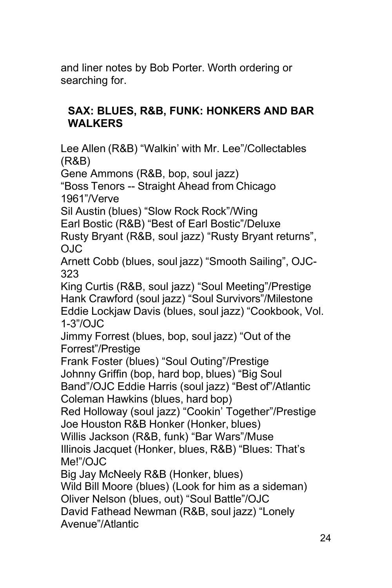and liner notes by Bob Porter. Worth ordering or searching for.

#### <span id="page-23-0"></span>**SAX: BLUES, R&B, FUNK: HONKERS AND BAR WALKERS**

Lee Allen (R&B) "Walkin' with Mr. Lee"/Collectables (R&B)

Gene Ammons (R&B, bop, soul jazz)

"Boss Tenors -- Straight Ahead from Chicago 1961"/Verve

Sil Austin (blues) "Slow Rock Rock"/Wing

Earl Bostic (R&B) "Best of Earl Bostic"/Deluxe

Rusty Bryant (R&B, soul jazz) "Rusty Bryant returns", OJC

Arnett Cobb (blues, soul jazz) "Smooth Sailing", OJC-323

King Curtis (R&B, soul jazz) "Soul Meeting"/Prestige Hank Crawford (soul jazz) "Soul Survivors"/Milestone Eddie Lockjaw Davis (blues, soul jazz) "Cookbook, Vol. 1-3"/OJC

Jimmy Forrest (blues, bop, soul jazz) "Out of the Forrest"/Prestige

Frank Foster (blues) "Soul Outing"/Prestige Johnny Griffin (bop, hard bop, blues) "Big Soul Band"/OJC Eddie Harris (soul jazz) "Best of"/Atlantic Coleman Hawkins (blues, hard bop)

Red Holloway (soul jazz) "Cookin' Together"/Prestige Joe Houston R&B Honker (Honker, blues)

Willis Jackson (R&B, funk) "Bar Wars"/Muse Illinois Jacquet (Honker, blues, R&B) "Blues: That's

Me!"/OJC

Big Jay McNeely R&B (Honker, blues)

Wild Bill Moore (blues) (Look for him as a sideman)

Oliver Nelson (blues, out) "Soul Battle"/OJC

David Fathead Newman (R&B, soul jazz) "Lonely

Avenue"/Atlantic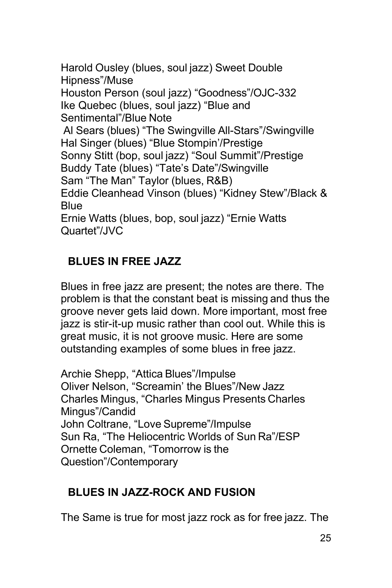Harold Ousley (blues, soul jazz) Sweet Double Hipness"/Muse Houston Person (soul jazz) "Goodness"/OJC-332 Ike Quebec (blues, soul jazz) "Blue and Sentimental"/Blue Note Al Sears (blues) "The Swingville All-Stars"/Swingville Hal Singer (blues) "Blue Stompin'/Prestige Sonny Stitt (bop, soul jazz) "Soul Summit"/Prestige Buddy Tate (blues) "Tate's Date"/Swingville Sam "The Man" Taylor (blues, R&B) Eddie Cleanhead Vinson (blues) "Kidney Stew"/Black & Blue Ernie Watts (blues, bop, soul jazz) "Ernie Watts Quartet"/JVC

# <span id="page-24-0"></span>**BLUES IN FREE JAZZ**

Blues in free jazz are present; the notes are there. The problem is that the constant beat is missing and thus the groove never gets laid down. More important, most free jazz is stir-it-up music rather than cool out. While this is great music, it is not groove music. Here are some outstanding examples of some blues in free jazz.

Archie Shepp, "Attica Blues"/Impulse Oliver Nelson, "Screamin' the Blues"/New Jazz Charles Mingus, "Charles Mingus Presents Charles Mingus"/Candid John Coltrane, "Love Supreme"/Impulse Sun Ra, "The Heliocentric Worlds of Sun Ra"/ESP Ornette Coleman, "Tomorrow is the Question"/Contemporary

#### <span id="page-24-1"></span>**BLUES IN JAZZ-ROCK AND FUSION**

The Same is true for most jazz rock as for free jazz. The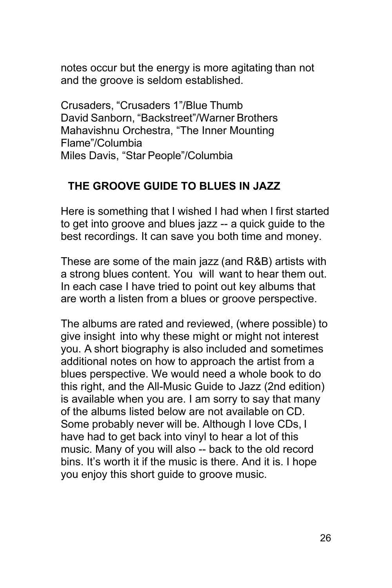notes occur but the energy is more agitating than not and the groove is seldom established.

Crusaders, "Crusaders 1"/Blue Thumb David Sanborn, "Backstreet"/Warner Brothers Mahavishnu Orchestra, "The Inner Mounting Flame"/Columbia Miles Davis, "Star People"/Columbia

#### <span id="page-25-0"></span>**THE GROOVE GUIDE TO BLUES IN JAZZ**

Here is something that I wished I had when I first started to get into groove and blues jazz -- a quick guide to the best recordings. It can save you both time and money.

These are some of the main jazz (and R&B) artists with a strong blues content. You will want to hear them out. In each case I have tried to point out key albums that are worth a listen from a blues or groove perspective.

The albums are rated and reviewed, (where possible) to give insight into why these might or might not interest you. A short biography is also included and sometimes additional notes on how to approach the artist from a blues perspective. We would need a whole book to do this right, and the All-Music Guide to Jazz (2nd edition) is available when you are. I am sorry to say that many of the albums listed below are not available on CD. Some probably never will be. Although I love CDs, I have had to get back into vinyl to hear a lot of this music. Many of you will also -- back to the old record bins. It's worth it if the music is there. And it is. I hope you enjoy this short guide to groove music.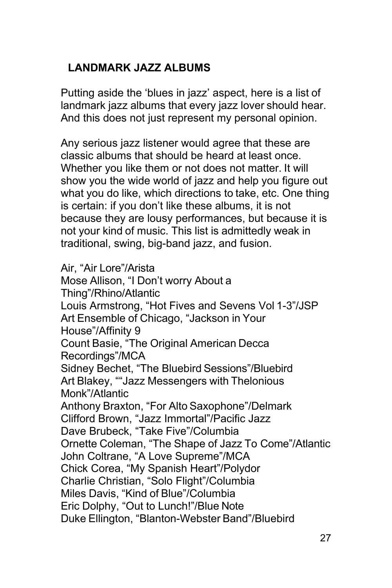# <span id="page-26-0"></span>**LANDMARK JAZZ ALBUMS**

Putting aside the 'blues in jazz' aspect, here is a list of landmark jazz albums that every jazz lover should hear. And this does not just represent my personal opinion.

Any serious jazz listener would agree that these are classic albums that should be heard at least once. Whether you like them or not does not matter. It will show you the wide world of jazz and help you figure out what you do like, which directions to take, etc. One thing is certain: if you don't like these albums, it is not because they are lousy performances, but because it is not your kind of music. This list is admittedly weak in traditional, swing, big-band jazz, and fusion.

Air, "Air Lore"/Arista Mose Allison, "I Don't worry About a Thing"/Rhino/Atlantic Louis Armstrong, "Hot Fives and Sevens Vol 1-3"/JSP Art Ensemble of Chicago, "Jackson in Your House"/Affinity 9 Count Basie, "The Original American Decca Recordings"/MCA Sidney Bechet, "The Bluebird Sessions"/Bluebird Art Blakey, ""Jazz Messengers with Thelonious Monk"/Atlantic Anthony Braxton, "For Alto Saxophone"/Delmark Clifford Brown, "Jazz Immortal"/Pacific Jazz Dave Brubeck, "Take Five"/Columbia Ornette Coleman, "The Shape of Jazz To Come"/Atlantic John Coltrane, "A Love Supreme"/MCA Chick Corea, "My Spanish Heart"/Polydor Charlie Christian, "Solo Flight"/Columbia Miles Davis, "Kind of Blue"/Columbia Eric Dolphy, "Out to Lunch!"/Blue Note Duke Ellington, "Blanton-Webster Band"/Bluebird